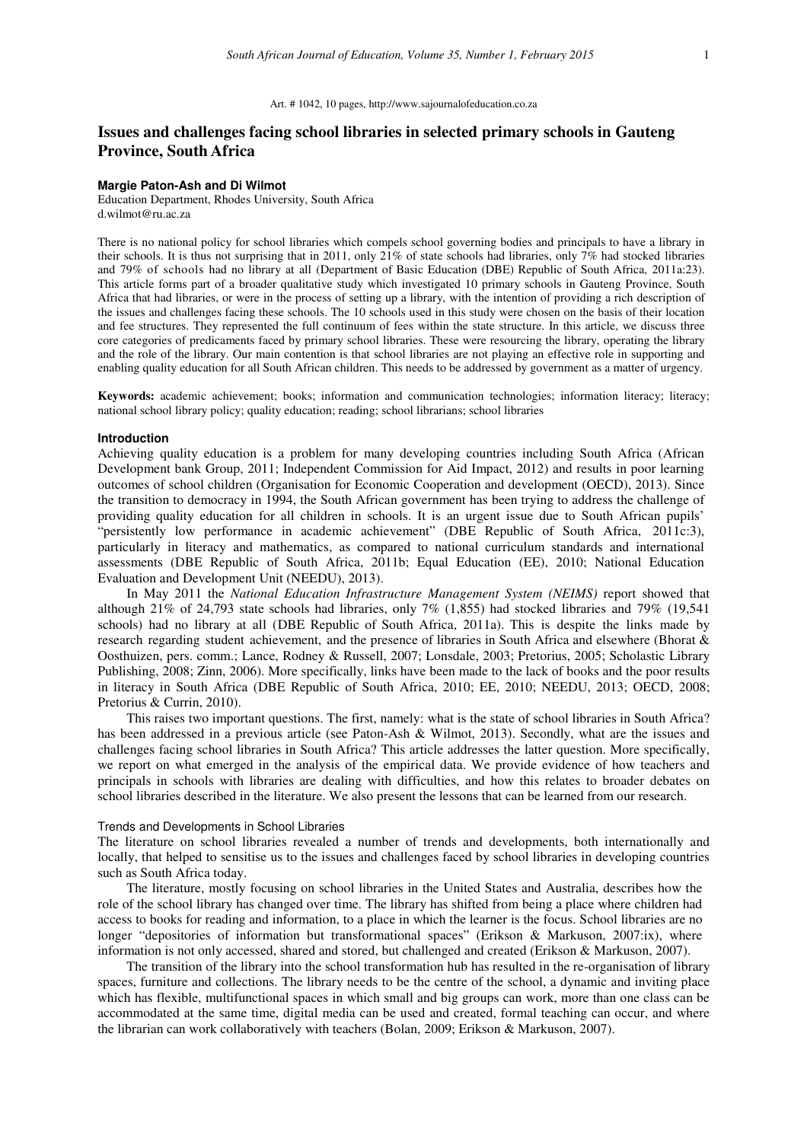#### Art. # 1042, 10 pages, http://www.sajournalofeducation.co.za

# **Issues and challenges facing school libraries in selected primary schools in Gauteng Province, South Africa**

#### **Margie Paton-Ash and Di Wilmot**

Education Department, Rhodes University, South Africa d.wilmot@ru.ac.za

There is no national policy for school libraries which compels school governing bodies and principals to have a library in their schools. It is thus not surprising that in 2011, only 21% of state schools had libraries, only 7% had stocked libraries and 79% of schools had no library at all (Department of Basic Education (DBE) Republic of South Africa, 2011a:23). This article forms part of a broader qualitative study which investigated 10 primary schools in Gauteng Province, South Africa that had libraries, or were in the process of setting up a library, with the intention of providing a rich description of the issues and challenges facing these schools. The 10 schools used in this study were chosen on the basis of their location and fee structures. They represented the full continuum of fees within the state structure. In this article, we discuss three core categories of predicaments faced by primary school libraries. These were resourcing the library, operating the library and the role of the library. Our main contention is that school libraries are not playing an effective role in supporting and enabling quality education for all South African children. This needs to be addressed by government as a matter of urgency.

**Keywords:** academic achievement; books; information and communication technologies; information literacy; literacy; national school library policy; quality education; reading; school librarians; school libraries

### **Introduction**

Achieving quality education is a problem for many developing countries including South Africa (African Development bank Group, 2011; Independent Commission for Aid Impact, 2012) and results in poor learning outcomes of school children (Organisation for Economic Cooperation and development (OECD), 2013). Since the transition to democracy in 1994, the South African government has been trying to address the challenge of providing quality education for all children in schools. It is an urgent issue due to South African pupils' "persistently low performance in academic achievement" (DBE Republic of South Africa, 2011c:3), particularly in literacy and mathematics, as compared to national curriculum standards and international assessments (DBE Republic of South Africa, 2011b; Equal Education (EE), 2010; National Education Evaluation and Development Unit (NEEDU), 2013).

In May 2011 the *National Education Infrastructure Management System (NEIMS)* report showed that although 21% of 24,793 state schools had libraries, only 7% (1,855) had stocked libraries and 79% (19,541 schools) had no library at all (DBE Republic of South Africa, 2011a). This is despite the links made by research regarding student achievement, and the presence of libraries in South Africa and elsewhere (Bhorat & Oosthuizen, pers. comm.; Lance, Rodney & Russell, 2007; Lonsdale, 2003; Pretorius, 2005; Scholastic Library Publishing, 2008; Zinn, 2006). More specifically, links have been made to the lack of books and the poor results in literacy in South Africa (DBE Republic of South Africa, 2010; EE, 2010; NEEDU, 2013; OECD, 2008; Pretorius & Currin, 2010).

This raises two important questions. The first, namely: what is the state of school libraries in South Africa? has been addressed in a previous article (see Paton-Ash & Wilmot, 2013). Secondly, what are the issues and challenges facing school libraries in South Africa? This article addresses the latter question. More specifically, we report on what emerged in the analysis of the empirical data. We provide evidence of how teachers and principals in schools with libraries are dealing with difficulties, and how this relates to broader debates on school libraries described in the literature. We also present the lessons that can be learned from our research.

#### Trends and Developments in School Libraries

The literature on school libraries revealed a number of trends and developments, both internationally and locally, that helped to sensitise us to the issues and challenges faced by school libraries in developing countries such as South Africa today.

The literature, mostly focusing on school libraries in the United States and Australia, describes how the role of the school library has changed over time. The library has shifted from being a place where children had access to books for reading and information, to a place in which the learner is the focus. School libraries are no longer "depositories of information but transformational spaces" (Erikson & Markuson, 2007:ix), where information is not only accessed, shared and stored, but challenged and created (Erikson & Markuson, 2007).

The transition of the library into the school transformation hub has resulted in the re-organisation of library spaces, furniture and collections. The library needs to be the centre of the school, a dynamic and inviting place which has flexible, multifunctional spaces in which small and big groups can work, more than one class can be accommodated at the same time, digital media can be used and created, formal teaching can occur, and where the librarian can work collaboratively with teachers (Bolan, 2009; Erikson & Markuson, 2007).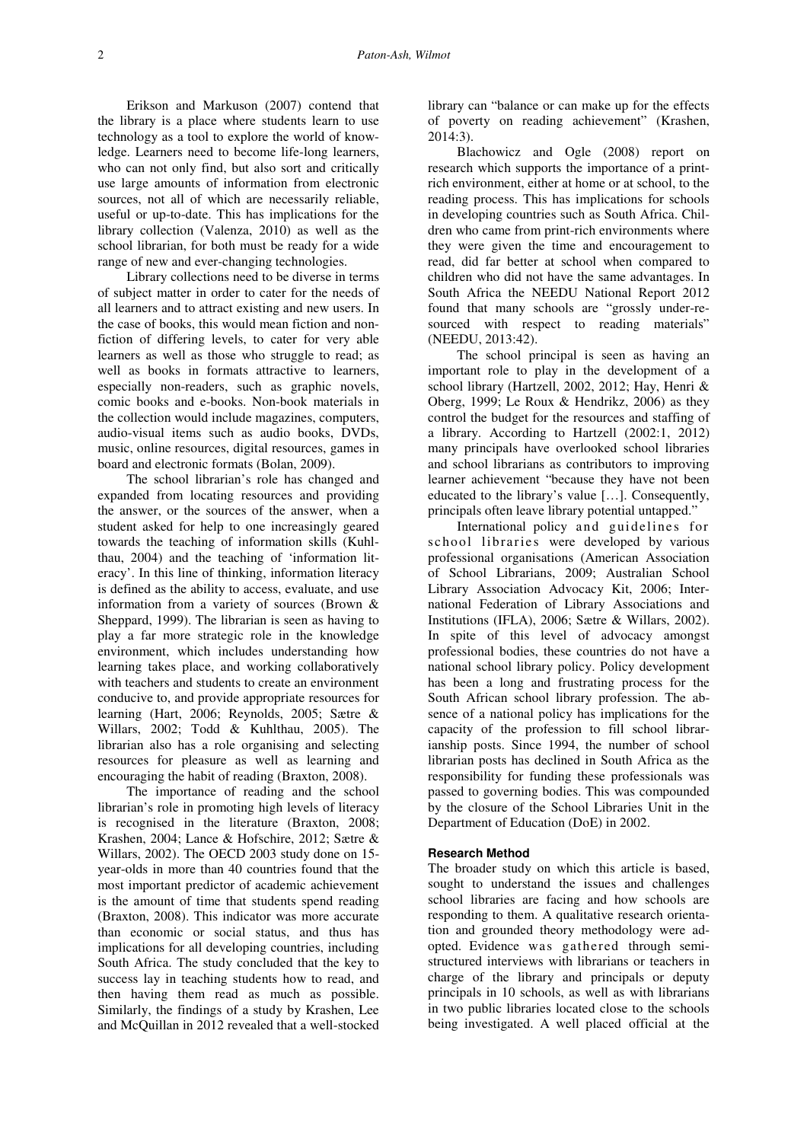Erikson and Markuson (2007) contend that the library is a place where students learn to use technology as a tool to explore the world of knowledge. Learners need to become life-long learners, who can not only find, but also sort and critically use large amounts of information from electronic sources, not all of which are necessarily reliable, useful or up-to-date. This has implications for the library collection (Valenza, 2010) as well as the school librarian, for both must be ready for a wide range of new and ever-changing technologies.

Library collections need to be diverse in terms of subject matter in order to cater for the needs of all learners and to attract existing and new users. In the case of books, this would mean fiction and nonfiction of differing levels, to cater for very able learners as well as those who struggle to read; as well as books in formats attractive to learners, especially non-readers, such as graphic novels, comic books and e-books. Non-book materials in the collection would include magazines, computers, audio-visual items such as audio books, DVDs, music, online resources, digital resources, games in board and electronic formats (Bolan, 2009).

The school librarian's role has changed and expanded from locating resources and providing the answer, or the sources of the answer, when a student asked for help to one increasingly geared towards the teaching of information skills (Kuhlthau, 2004) and the teaching of 'information literacy'. In this line of thinking, information literacy is defined as the ability to access, evaluate, and use information from a variety of sources (Brown & Sheppard, 1999). The librarian is seen as having to play a far more strategic role in the knowledge environment, which includes understanding how learning takes place, and working collaboratively with teachers and students to create an environment conducive to, and provide appropriate resources for learning (Hart, 2006; Reynolds, 2005; Sætre & Willars, 2002; Todd & Kuhlthau, 2005). The librarian also has a role organising and selecting resources for pleasure as well as learning and encouraging the habit of reading (Braxton, 2008).

The importance of reading and the school librarian's role in promoting high levels of literacy is recognised in the literature (Braxton, 2008; Krashen, 2004; Lance & Hofschire, 2012; Sætre & Willars, 2002). The OECD 2003 study done on 15 year-olds in more than 40 countries found that the most important predictor of academic achievement is the amount of time that students spend reading (Braxton, 2008). This indicator was more accurate than economic or social status, and thus has implications for all developing countries, including South Africa. The study concluded that the key to success lay in teaching students how to read, and then having them read as much as possible. Similarly, the findings of a study by Krashen, Lee and McQuillan in 2012 revealed that a well-stocked library can "balance or can make up for the effects of poverty on reading achievement" (Krashen, 2014:3).

Blachowicz and Ogle (2008) report on research which supports the importance of a printrich environment, either at home or at school, to the reading process. This has implications for schools in developing countries such as South Africa. Children who came from print-rich environments where they were given the time and encouragement to read, did far better at school when compared to children who did not have the same advantages. In South Africa the NEEDU National Report 2012 found that many schools are "grossly under-resourced with respect to reading materials" (NEEDU, 2013:42).

The school principal is seen as having an important role to play in the development of a school library (Hartzell, 2002, 2012; Hay, Henri & Oberg, 1999; Le Roux & Hendrikz, 2006) as they control the budget for the resources and staffing of a library. According to Hartzell (2002:1, 2012) many principals have overlooked school libraries and school librarians as contributors to improving learner achievement "because they have not been educated to the library's value […]. Consequently, principals often leave library potential untapped."

International policy and guidelines for school libraries were developed by various professional organisations (American Association of School Librarians, 2009; Australian School Library Association Advocacy Kit, 2006; International Federation of Library Associations and Institutions (IFLA), 2006; Sætre & Willars, 2002). In spite of this level of advocacy amongst professional bodies, these countries do not have a national school library policy. Policy development has been a long and frustrating process for the South African school library profession. The absence of a national policy has implications for the capacity of the profession to fill school librarianship posts. Since 1994, the number of school librarian posts has declined in South Africa as the responsibility for funding these professionals was passed to governing bodies. This was compounded by the closure of the School Libraries Unit in the Department of Education (DoE) in 2002.

### **Research Method**

The broader study on which this article is based, sought to understand the issues and challenges school libraries are facing and how schools are responding to them. A qualitative research orientation and grounded theory methodology were adopted. Evidence was gathered through semistructured interviews with librarians or teachers in charge of the library and principals or deputy principals in 10 schools, as well as with librarians in two public libraries located close to the schools being investigated. A well placed official at the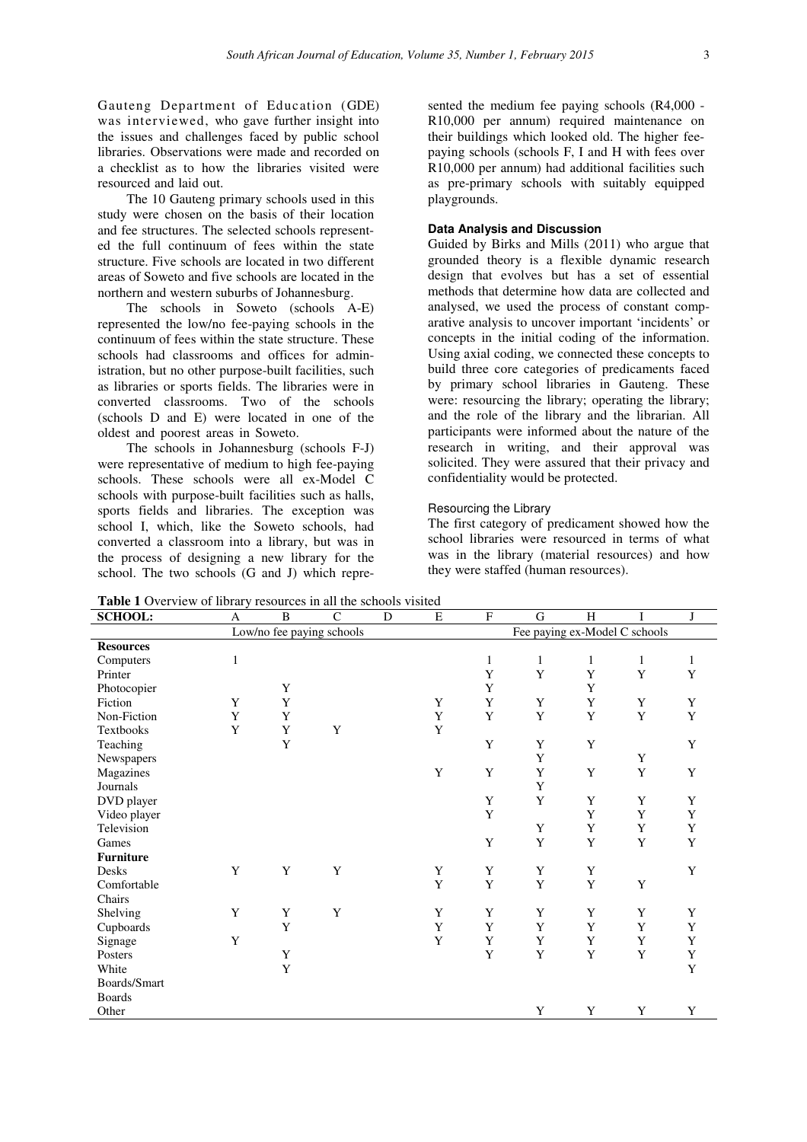Gauteng Department of Education (GDE) was interviewed, who gave further insight into the issues and challenges faced by public school libraries. Observations were made and recorded on a checklist as to how the libraries visited were resourced and laid out.

The 10 Gauteng primary schools used in this study were chosen on the basis of their location and fee structures. The selected schools represented the full continuum of fees within the state structure. Five schools are located in two different areas of Soweto and five schools are located in the northern and western suburbs of Johannesburg.

The schools in Soweto (schools A-E) represented the low/no fee-paying schools in the continuum of fees within the state structure. These schools had classrooms and offices for administration, but no other purpose-built facilities, such as libraries or sports fields. The libraries were in converted classrooms. Two of the schools (schools D and E) were located in one of the oldest and poorest areas in Soweto.

The schools in Johannesburg (schools F-J) were representative of medium to high fee-paying schools. These schools were all ex-Model C schools with purpose-built facilities such as halls, sports fields and libraries. The exception was school I, which, like the Soweto schools, had converted a classroom into a library, but was in the process of designing a new library for the school. The two schools (G and J) which represented the medium fee paying schools (R4,000 - R10,000 per annum) required maintenance on their buildings which looked old. The higher feepaying schools (schools F, I and H with fees over R10,000 per annum) had additional facilities such as pre-primary schools with suitably equipped playgrounds.

# **Data Analysis and Discussion**

Guided by Birks and Mills (2011) who argue that grounded theory is a flexible dynamic research design that evolves but has a set of essential methods that determine how data are collected and analysed, we used the process of constant comparative analysis to uncover important 'incidents' or concepts in the initial coding of the information. Using axial coding, we connected these concepts to build three core categories of predicaments faced by primary school libraries in Gauteng. These were: resourcing the library; operating the library; and the role of the library and the librarian. All participants were informed about the nature of the research in writing, and their approval was solicited. They were assured that their privacy and confidentiality would be protected.

### Resourcing the Library

The first category of predicament showed how the school libraries were resourced in terms of what was in the library (material resources) and how they were staffed (human resources).

**Table 1** Overview of library resources in all the schools visited

| <b>THERE</b> I OVER THEM OF HOTHE <b>y</b> resources in an the sendons visitou<br><b>SCHOOL:</b> | A                         | $\, {\bf B}$ | $\mathsf{C}$ | D | E           | $\rm F$      | G                             | H | I           | $\mathbf{J}$ |
|--------------------------------------------------------------------------------------------------|---------------------------|--------------|--------------|---|-------------|--------------|-------------------------------|---|-------------|--------------|
|                                                                                                  | Low/no fee paying schools |              |              |   |             |              | Fee paying ex-Model C schools |   |             |              |
| <b>Resources</b>                                                                                 |                           |              |              |   |             |              |                               |   |             |              |
| Computers                                                                                        | $\,1$                     |              |              |   |             | $\mathbf{1}$ | $\mathbf{1}$                  | 1 | 1           | $\mathbf{1}$ |
| Printer                                                                                          |                           |              |              |   |             | Y            | Y                             | Y | Y           | Y            |
| Photocopier                                                                                      |                           | Y            |              |   |             | Y            |                               | Y |             |              |
| Fiction                                                                                          | Y                         | Y            |              |   | Y           | Y            | Y                             | Y | Y           | Y            |
| Non-Fiction                                                                                      | Y                         | Y            |              |   | $\mathbf Y$ | Y            | Y                             | Y | $\mathbf Y$ | $\mathbf Y$  |
| Textbooks                                                                                        | Y                         | Y            | Y            |   | $\mathbf Y$ |              |                               |   |             |              |
| Teaching                                                                                         |                           | Y            |              |   |             | Y            | Y                             | Y |             | Y            |
| Newspapers                                                                                       |                           |              |              |   |             |              | Y                             |   | Y           |              |
| Magazines                                                                                        |                           |              |              |   | $\mathbf Y$ | Y            | Y                             | Y | $\mathbf Y$ | Y            |
| Journals                                                                                         |                           |              |              |   |             |              | Y                             |   |             |              |
| DVD player                                                                                       |                           |              |              |   |             | Y            | Y                             | Y | Y           | Y            |
| Video player                                                                                     |                           |              |              |   |             | Y            |                               | Y | Y           | $\mathbf Y$  |
| Television                                                                                       |                           |              |              |   |             |              | Y                             | Y | Y           | Y            |
| Games                                                                                            |                           |              |              |   |             | Y            | Y                             | Y | Y           | Y            |
| <b>Furniture</b>                                                                                 |                           |              |              |   |             |              |                               |   |             |              |
| Desks                                                                                            | Y                         | Y            | Y            |   | Y           | Y            | Y                             | Y |             | Y            |
| Comfortable                                                                                      |                           |              |              |   | Y           | Y            | Y                             | Y | Y           |              |
| Chairs                                                                                           |                           |              |              |   |             |              |                               |   |             |              |
| Shelving                                                                                         | Y                         | Y            | Y            |   | Y           | Y            | Y                             | Y | Y           | Y            |
| Cupboards                                                                                        |                           | Y            |              |   | Y           | Y            | Y                             | Y | Y           | Y            |
| Signage                                                                                          | Y                         |              |              |   | Y           | Y            | Y                             | Y | Y           | $\mathbf Y$  |
| Posters                                                                                          |                           | Y            |              |   |             | Y            | Y                             | Y | Y           | $\mathbf Y$  |
| White                                                                                            |                           | $\mathbf Y$  |              |   |             |              |                               |   |             | $\mathbf Y$  |
| Boards/Smart                                                                                     |                           |              |              |   |             |              |                               |   |             |              |
| <b>Boards</b>                                                                                    |                           |              |              |   |             |              |                               |   |             |              |
| Other                                                                                            |                           |              |              |   |             |              | Y                             | Y | Y           | Y            |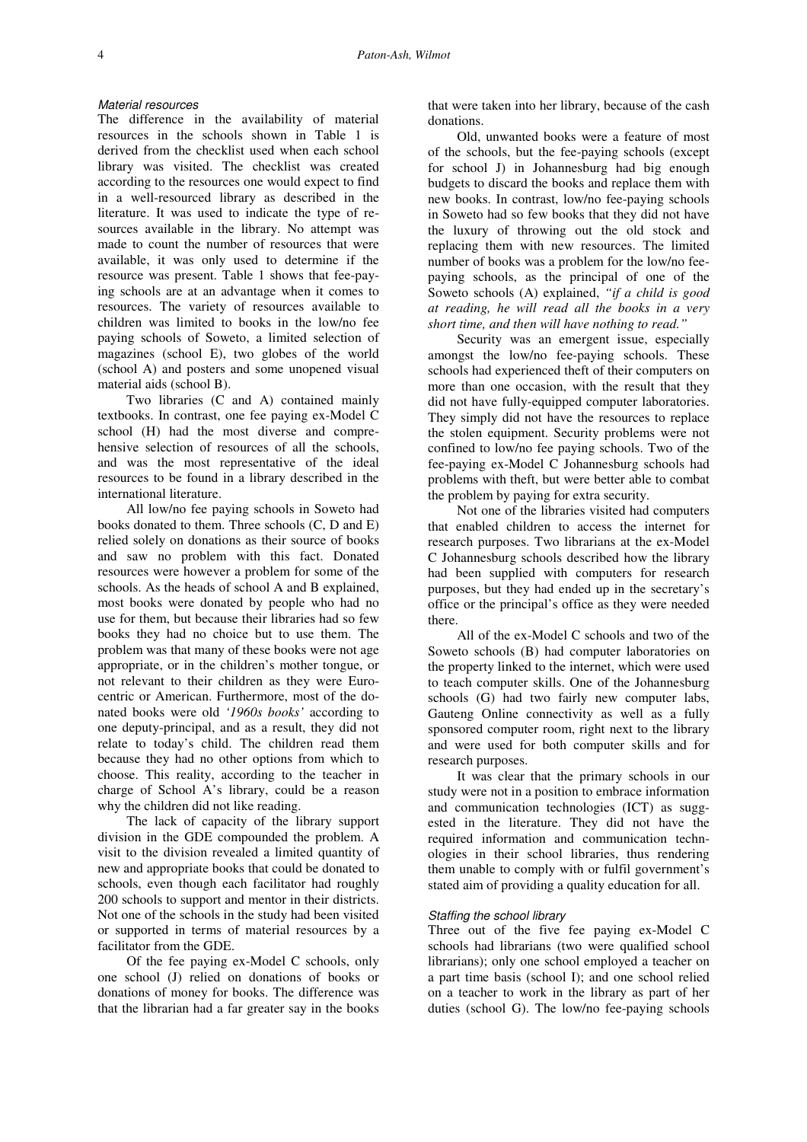#### Material resources

The difference in the availability of material resources in the schools shown in Table 1 is derived from the checklist used when each school library was visited. The checklist was created according to the resources one would expect to find in a well-resourced library as described in the literature. It was used to indicate the type of resources available in the library. No attempt was made to count the number of resources that were available, it was only used to determine if the resource was present. Table 1 shows that fee-paying schools are at an advantage when it comes to resources. The variety of resources available to children was limited to books in the low/no fee paying schools of Soweto, a limited selection of magazines (school E), two globes of the world (school A) and posters and some unopened visual material aids (school B).

Two libraries (C and A) contained mainly textbooks. In contrast, one fee paying ex-Model C school (H) had the most diverse and comprehensive selection of resources of all the schools, and was the most representative of the ideal resources to be found in a library described in the international literature.

All low/no fee paying schools in Soweto had books donated to them. Three schools (C, D and E) relied solely on donations as their source of books and saw no problem with this fact. Donated resources were however a problem for some of the schools. As the heads of school A and B explained, most books were donated by people who had no use for them, but because their libraries had so few books they had no choice but to use them. The problem was that many of these books were not age appropriate, or in the children's mother tongue, or not relevant to their children as they were Eurocentric or American. Furthermore, most of the donated books were old *'1960s books'* according to one deputy-principal, and as a result, they did not relate to today's child. The children read them because they had no other options from which to choose. This reality, according to the teacher in charge of School A's library, could be a reason why the children did not like reading.

The lack of capacity of the library support division in the GDE compounded the problem. A visit to the division revealed a limited quantity of new and appropriate books that could be donated to schools, even though each facilitator had roughly 200 schools to support and mentor in their districts. Not one of the schools in the study had been visited or supported in terms of material resources by a facilitator from the GDE.

Of the fee paying ex-Model C schools, only one school (J) relied on donations of books or donations of money for books. The difference was that the librarian had a far greater say in the books that were taken into her library, because of the cash donations.

Old, unwanted books were a feature of most of the schools, but the fee-paying schools (except for school J) in Johannesburg had big enough budgets to discard the books and replace them with new books. In contrast, low/no fee-paying schools in Soweto had so few books that they did not have the luxury of throwing out the old stock and replacing them with new resources. The limited number of books was a problem for the low/no feepaying schools, as the principal of one of the Soweto schools (A) explained, *"if a child is good at reading, he will read all the books in a very short time, and then will have nothing to read."*

Security was an emergent issue, especially amongst the low/no fee-paying schools. These schools had experienced theft of their computers on more than one occasion, with the result that they did not have fully-equipped computer laboratories. They simply did not have the resources to replace the stolen equipment. Security problems were not confined to low/no fee paying schools. Two of the fee-paying ex-Model C Johannesburg schools had problems with theft, but were better able to combat the problem by paying for extra security.

Not one of the libraries visited had computers that enabled children to access the internet for research purposes. Two librarians at the ex-Model C Johannesburg schools described how the library had been supplied with computers for research purposes, but they had ended up in the secretary's office or the principal's office as they were needed there.

All of the ex-Model C schools and two of the Soweto schools (B) had computer laboratories on the property linked to the internet, which were used to teach computer skills. One of the Johannesburg schools (G) had two fairly new computer labs, Gauteng Online connectivity as well as a fully sponsored computer room, right next to the library and were used for both computer skills and for research purposes.

It was clear that the primary schools in our study were not in a position to embrace information and communication technologies (ICT) as suggested in the literature. They did not have the required information and communication technologies in their school libraries, thus rendering them unable to comply with or fulfil government's stated aim of providing a quality education for all.

### Staffing the school library

Three out of the five fee paying ex-Model C schools had librarians (two were qualified school librarians); only one school employed a teacher on a part time basis (school I); and one school relied on a teacher to work in the library as part of her duties (school G). The low/no fee-paying schools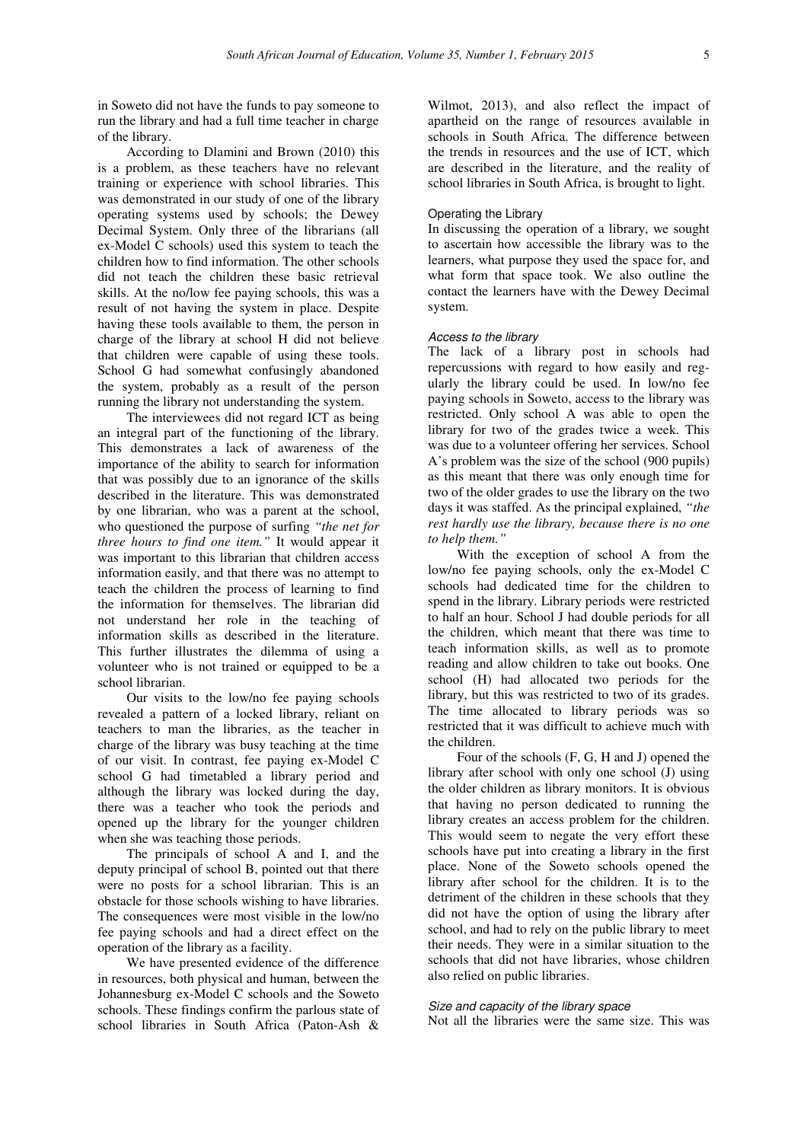in Soweto did not have the funds to pay someone to run the library and had a full time teacher in charge of the library.

According to Dlamini and Brown (2010) this is a problem, as these teachers have no relevant training or experience with school libraries. This was demonstrated in our study of one of the library operating systems used by schools; the Dewey Decimal System. Only three of the librarians (all ex-Model C schools) used this system to teach the children how to find information. The other schools did not teach the children these basic retrieval skills. At the no/low fee paying schools, this was a result of not having the system in place. Despite having these tools available to them, the person in charge of the library at school H did not believe that children were capable of using these tools. School G had somewhat confusingly abandoned the system, probably as a result of the person running the library not understanding the system.

The interviewees did not regard ICT as being an integral part of the functioning of the library. This demonstrates a lack of awareness of the importance of the ability to search for information that was possibly due to an ignorance of the skills described in the literature. This was demonstrated by one librarian, who was a parent at the school, who questioned the purpose of surfing *"the net for three hours to find one item."* It would appear it was important to this librarian that children access information easily, and that there was no attempt to teach the children the process of learning to find the information for themselves. The librarian did not understand her role in the teaching of information skills as described in the literature. This further illustrates the dilemma of using a volunteer who is not trained or equipped to be a school librarian.

Our visits to the low/no fee paying schools revealed a pattern of a locked library, reliant on teachers to man the libraries, as the teacher in charge of the library was busy teaching at the time of our visit. In contrast, fee paying ex-Model C school G had timetabled a library period and although the library was locked during the day, there was a teacher who took the periods and opened up the library for the younger children when she was teaching those periods.

The principals of school A and I, and the deputy principal of school B, pointed out that there were no posts for a school librarian. This is an obstacle for those schools wishing to have libraries. The consequences were most visible in the low/no fee paying schools and had a direct effect on the operation of the library as a facility.

We have presented evidence of the difference in resources, both physical and human, between the Johannesburg ex-Model C schools and the Soweto schools. These findings confirm the parlous state of school libraries in South Africa (Paton-Ash & Wilmot, 2013), and also reflect the impact of apartheid on the range of resources available in schools in South Africa. The difference between the trends in resources and the use of ICT, which are described in the literature, and the reality of school libraries in South Africa, is brought to light.

# Operating the Library

In discussing the operation of a library, we sought to ascertain how accessible the library was to the learners, what purpose they used the space for, and what form that space took. We also outline the contact the learners have with the Dewey Decimal system.

#### Access to the library

The lack of a library post in schools had repercussions with regard to how easily and regularly the library could be used. In low/no fee paying schools in Soweto, access to the library was restricted. Only school A was able to open the library for two of the grades twice a week. This was due to a volunteer offering her services. School A's problem was the size of the school (900 pupils) as this meant that there was only enough time for two of the older grades to use the library on the two days it was staffed. As the principal explained, *"the rest hardly use the library, because there is no one to help them."*

With the exception of school A from the low/no fee paying schools, only the ex-Model C schools had dedicated time for the children to spend in the library. Library periods were restricted to half an hour. School J had double periods for all the children, which meant that there was time to teach information skills, as well as to promote reading and allow children to take out books. One school (H) had allocated two periods for the library, but this was restricted to two of its grades. The time allocated to library periods was so restricted that it was difficult to achieve much with the children.

Four of the schools (F, G, H and J) opened the library after school with only one school (J) using the older children as library monitors. It is obvious that having no person dedicated to running the library creates an access problem for the children. This would seem to negate the very effort these schools have put into creating a library in the first place. None of the Soweto schools opened the library after school for the children. It is to the detriment of the children in these schools that they did not have the option of using the library after school, and had to rely on the public library to meet their needs. They were in a similar situation to the schools that did not have libraries, whose children also relied on public libraries.

### Size and capacity of the library space

Not all the libraries were the same size. This was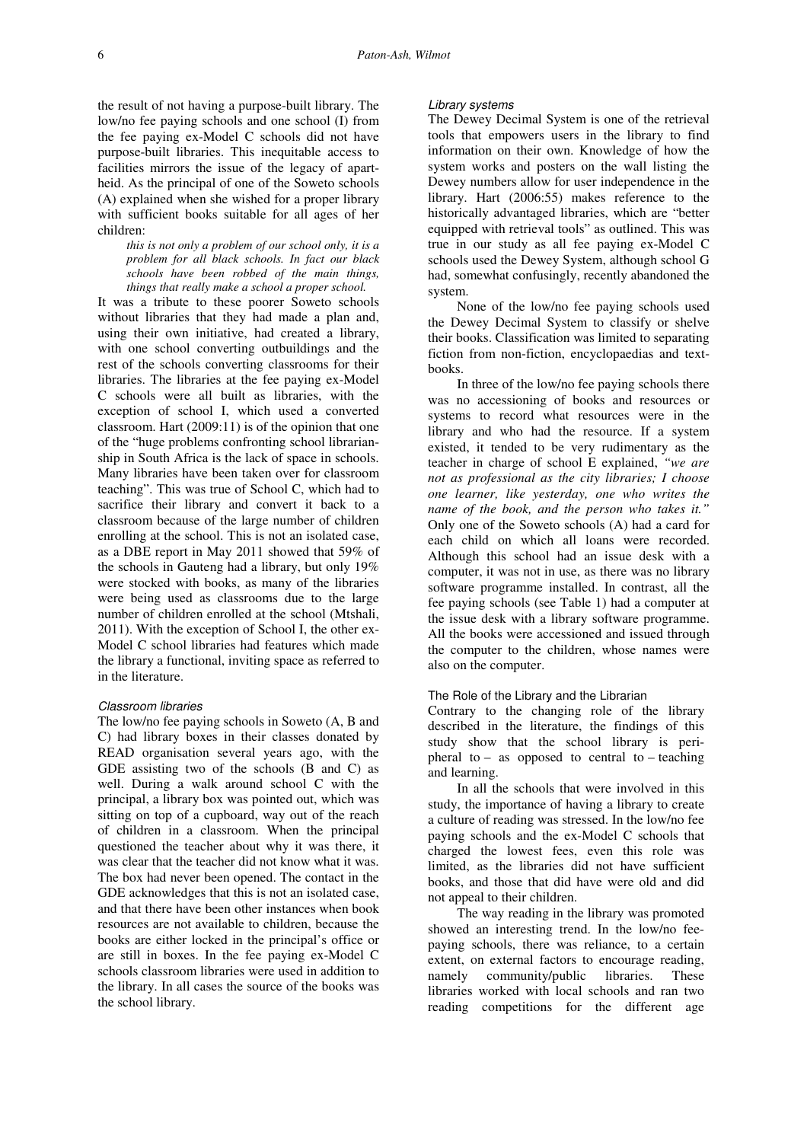the result of not having a purpose-built library. The low/no fee paying schools and one school (I) from the fee paying ex-Model C schools did not have purpose-built libraries. This inequitable access to facilities mirrors the issue of the legacy of apartheid. As the principal of one of the Soweto schools (A) explained when she wished for a proper library with sufficient books suitable for all ages of her children:

*this is not only a problem of our school only, it is a problem for all black schools. In fact our black schools have been robbed of the main things, things that really make a school a proper school.*

It was a tribute to these poorer Soweto schools without libraries that they had made a plan and, using their own initiative, had created a library, with one school converting outbuildings and the rest of the schools converting classrooms for their libraries. The libraries at the fee paying ex-Model C schools were all built as libraries, with the exception of school I, which used a converted classroom. Hart (2009:11) is of the opinion that one of the "huge problems confronting school librarianship in South Africa is the lack of space in schools. Many libraries have been taken over for classroom teaching". This was true of School C, which had to sacrifice their library and convert it back to a classroom because of the large number of children enrolling at the school. This is not an isolated case, as a DBE report in May 2011 showed that 59% of the schools in Gauteng had a library, but only 19% were stocked with books, as many of the libraries were being used as classrooms due to the large number of children enrolled at the school (Mtshali, 2011). With the exception of School I, the other ex-Model C school libraries had features which made the library a functional, inviting space as referred to in the literature.

### Classroom libraries

The low/no fee paying schools in Soweto (A, B and C) had library boxes in their classes donated by READ organisation several years ago, with the GDE assisting two of the schools (B and C) as well. During a walk around school C with the principal, a library box was pointed out, which was sitting on top of a cupboard, way out of the reach of children in a classroom. When the principal questioned the teacher about why it was there, it was clear that the teacher did not know what it was. The box had never been opened. The contact in the GDE acknowledges that this is not an isolated case, and that there have been other instances when book resources are not available to children, because the books are either locked in the principal's office or are still in boxes. In the fee paying ex-Model C schools classroom libraries were used in addition to the library. In all cases the source of the books was the school library.

#### Library systems

The Dewey Decimal System is one of the retrieval tools that empowers users in the library to find information on their own. Knowledge of how the system works and posters on the wall listing the Dewey numbers allow for user independence in the library. Hart (2006:55) makes reference to the historically advantaged libraries, which are "better equipped with retrieval tools" as outlined. This was true in our study as all fee paying ex-Model C schools used the Dewey System, although school G had, somewhat confusingly, recently abandoned the system.

None of the low/no fee paying schools used the Dewey Decimal System to classify or shelve their books. Classification was limited to separating fiction from non-fiction, encyclopaedias and textbooks.

In three of the low/no fee paying schools there was no accessioning of books and resources or systems to record what resources were in the library and who had the resource. If a system existed, it tended to be very rudimentary as the teacher in charge of school E explained, *"we are not as professional as the city libraries; I choose one learner, like yesterday, one who writes the name of the book, and the person who takes it."*  Only one of the Soweto schools (A) had a card for each child on which all loans were recorded. Although this school had an issue desk with a computer, it was not in use, as there was no library software programme installed. In contrast, all the fee paying schools (see Table 1) had a computer at the issue desk with a library software programme. All the books were accessioned and issued through the computer to the children, whose names were also on the computer.

#### The Role of the Library and the Librarian

Contrary to the changing role of the library described in the literature, the findings of this study show that the school library is peripheral to – as opposed to central to – teaching and learning.

In all the schools that were involved in this study, the importance of having a library to create a culture of reading was stressed. In the low/no fee paying schools and the ex-Model C schools that charged the lowest fees, even this role was limited, as the libraries did not have sufficient books, and those that did have were old and did not appeal to their children.

The way reading in the library was promoted showed an interesting trend. In the low/no feepaying schools, there was reliance, to a certain extent, on external factors to encourage reading, namely community/public libraries. These libraries worked with local schools and ran two reading competitions for the different age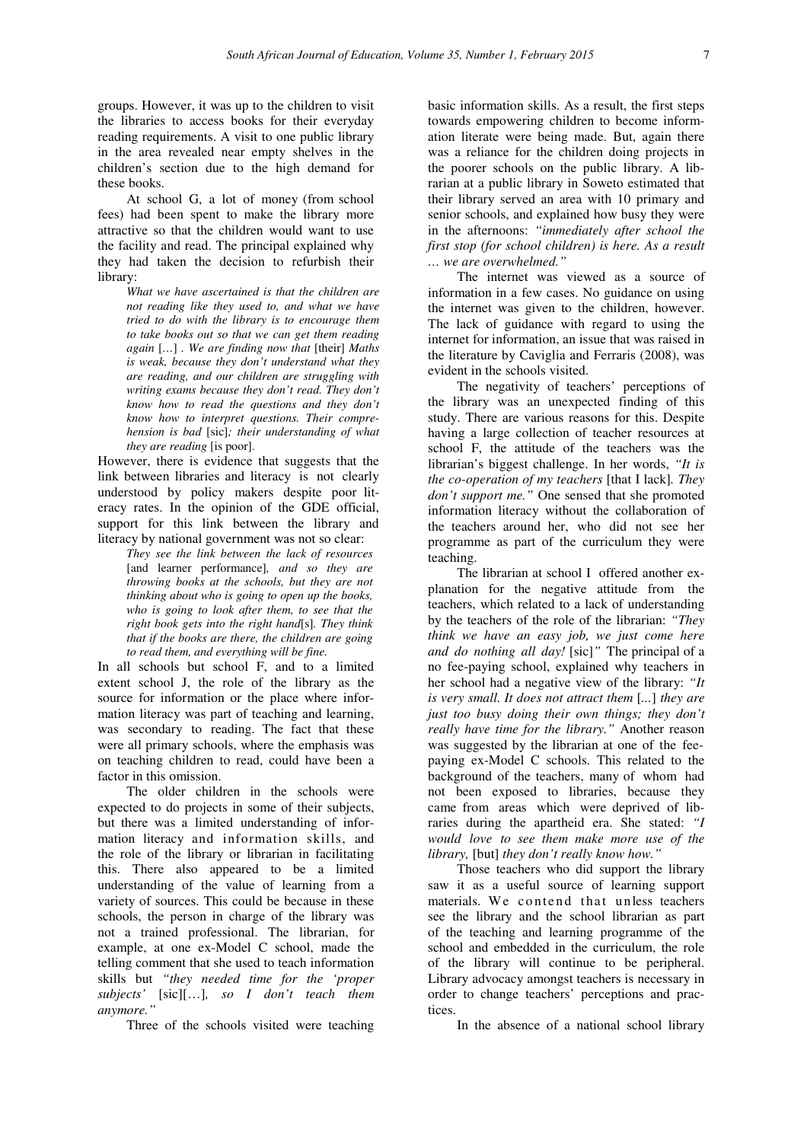groups. However, it was up to the children to visit the libraries to access books for their everyday reading requirements. A visit to one public library in the area revealed near empty shelves in the children's section due to the high demand for these books.

At school G, a lot of money (from school fees) had been spent to make the library more attractive so that the children would want to use the facility and read. The principal explained why they had taken the decision to refurbish their library:

> *What we have ascertained is that the children are not reading like they used to, and what we have tried to do with the library is to encourage them to take books out so that we can get them reading again* [*…*] *. We are finding now that* [their] *Maths is weak, because they don't understand what they are reading, and our children are struggling with writing exams because they don't read. They don't know how to read the questions and they don't know how to interpret questions. Their comprehension is bad* [sic]*; their understanding of what they are reading* [is poor].

However, there is evidence that suggests that the link between libraries and literacy is not clearly understood by policy makers despite poor literacy rates. In the opinion of the GDE official, support for this link between the library and literacy by national government was not so clear:

*They see the link between the lack of resources* [and learner performance]*, and so they are throwing books at the schools, but they are not thinking about who is going to open up the books, who is going to look after them, to see that the right book gets into the right hand*[s]*. They think that if the books are there, the children are going to read them, and everything will be fine.* 

In all schools but school F, and to a limited extent school J, the role of the library as the source for information or the place where information literacy was part of teaching and learning, was secondary to reading. The fact that these were all primary schools, where the emphasis was on teaching children to read, could have been a factor in this omission.

The older children in the schools were expected to do projects in some of their subjects, but there was a limited understanding of information literacy and information skills, and the role of the library or librarian in facilitating this. There also appeared to be a limited understanding of the value of learning from a variety of sources. This could be because in these schools, the person in charge of the library was not a trained professional. The librarian, for example, at one ex-Model C school, made the telling comment that she used to teach information skills but *"they needed time for the 'proper subjects'* [sic][…]*, so I don't teach them anymore."*

Three of the schools visited were teaching

basic information skills. As a result, the first steps towards empowering children to become information literate were being made. But, again there was a reliance for the children doing projects in the poorer schools on the public library. A librarian at a public library in Soweto estimated that their library served an area with 10 primary and senior schools, and explained how busy they were in the afternoons: *"immediately after school the first stop (for school children) is here. As a result … we are overwhelmed."*

The internet was viewed as a source of information in a few cases. No guidance on using the internet was given to the children, however. The lack of guidance with regard to using the internet for information, an issue that was raised in the literature by Caviglia and Ferraris (2008), was evident in the schools visited.

The negativity of teachers' perceptions of the library was an unexpected finding of this study. There are various reasons for this. Despite having a large collection of teacher resources at school F, the attitude of the teachers was the librarian's biggest challenge. In her words, *"It is the co-operation of my teachers* [that I lack]*. They don't support me."* One sensed that she promoted information literacy without the collaboration of the teachers around her, who did not see her programme as part of the curriculum they were teaching.

The librarian at school I offered another explanation for the negative attitude from the teachers, which related to a lack of understanding by the teachers of the role of the librarian: *"They think we have an easy job, we just come here and do nothing all day!* [sic]*"* The principal of a no fee-paying school, explained why teachers in her school had a negative view of the library: *"It is very small. It does not attract them* [*...*] *they are just too busy doing their own things; they don't really have time for the library."* Another reason was suggested by the librarian at one of the feepaying ex-Model C schools. This related to the background of the teachers, many of whom had not been exposed to libraries, because they came from areas which were deprived of libraries during the apartheid era. She stated: *"I would love to see them make more use of the library,* [but] *they don't really know how."*

Those teachers who did support the library saw it as a useful source of learning support materials. We contend that unless teachers see the library and the school librarian as part of the teaching and learning programme of the school and embedded in the curriculum, the role of the library will continue to be peripheral. Library advocacy amongst teachers is necessary in order to change teachers' perceptions and practices.

In the absence of a national school library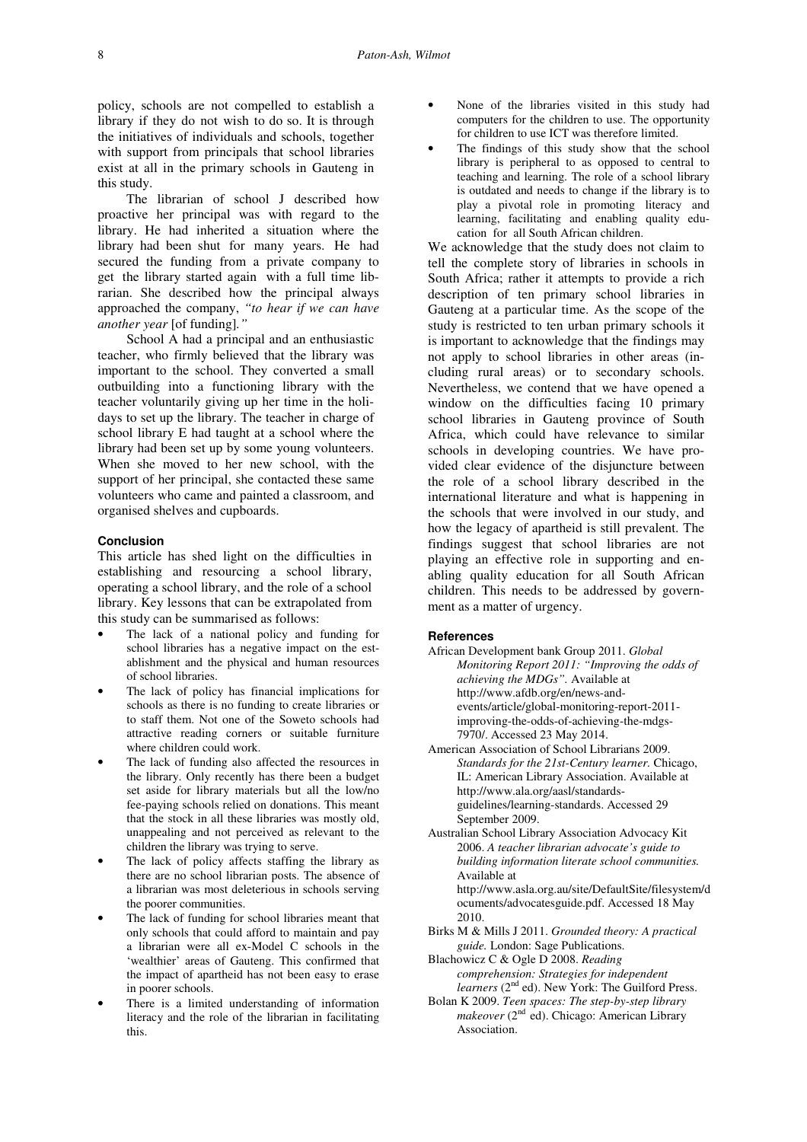policy, schools are not compelled to establish a library if they do not wish to do so. It is through the initiatives of individuals and schools, together with support from principals that school libraries exist at all in the primary schools in Gauteng in this study.

The librarian of school J described how proactive her principal was with regard to the library. He had inherited a situation where the library had been shut for many years. He had secured the funding from a private company to get the library started again with a full time librarian. She described how the principal always approached the company, *"to hear if we can have another year* [of funding]*."*

School A had a principal and an enthusiastic teacher, who firmly believed that the library was important to the school. They converted a small outbuilding into a functioning library with the teacher voluntarily giving up her time in the holidays to set up the library. The teacher in charge of school library E had taught at a school where the library had been set up by some young volunteers. When she moved to her new school, with the support of her principal, she contacted these same volunteers who came and painted a classroom, and organised shelves and cupboards.

# **Conclusion**

This article has shed light on the difficulties in establishing and resourcing a school library, operating a school library, and the role of a school library. Key lessons that can be extrapolated from this study can be summarised as follows:

- The lack of a national policy and funding for school libraries has a negative impact on the establishment and the physical and human resources of school libraries.
- The lack of policy has financial implications for schools as there is no funding to create libraries or to staff them. Not one of the Soweto schools had attractive reading corners or suitable furniture where children could work.
- The lack of funding also affected the resources in the library. Only recently has there been a budget set aside for library materials but all the low/no fee-paying schools relied on donations. This meant that the stock in all these libraries was mostly old, unappealing and not perceived as relevant to the children the library was trying to serve.
- The lack of policy affects staffing the library as there are no school librarian posts. The absence of a librarian was most deleterious in schools serving the poorer communities.
- The lack of funding for school libraries meant that only schools that could afford to maintain and pay a librarian were all ex-Model C schools in the 'wealthier' areas of Gauteng. This confirmed that the impact of apartheid has not been easy to erase in poorer schools.
- There is a limited understanding of information literacy and the role of the librarian in facilitating this.
- None of the libraries visited in this study had computers for the children to use. The opportunity for children to use ICT was therefore limited.
- The findings of this study show that the school library is peripheral to as opposed to central to teaching and learning. The role of a school library is outdated and needs to change if the library is to play a pivotal role in promoting literacy and learning, facilitating and enabling quality education for all South African children.

We acknowledge that the study does not claim to tell the complete story of libraries in schools in South Africa; rather it attempts to provide a rich description of ten primary school libraries in Gauteng at a particular time. As the scope of the study is restricted to ten urban primary schools it is important to acknowledge that the findings may not apply to school libraries in other areas (including rural areas) or to secondary schools. Nevertheless, we contend that we have opened a window on the difficulties facing 10 primary school libraries in Gauteng province of South Africa, which could have relevance to similar schools in developing countries. We have provided clear evidence of the disjuncture between the role of a school library described in the international literature and what is happening in the schools that were involved in our study, and how the legacy of apartheid is still prevalent. The findings suggest that school libraries are not playing an effective role in supporting and enabling quality education for all South African children. This needs to be addressed by government as a matter of urgency.

### **References**

- African Development bank Group 2011. *Global Monitoring Report 2011: "Improving the odds of achieving the MDGs".* Available at http://www.afdb.org/en/news-andevents/article/global-monitoring-report-2011 improving-the-odds-of-achieving-the-mdgs-7970/. Accessed 23 May 2014.
- American Association of School Librarians 2009. *Standards for the 21st-Century learner.* Chicago, IL: American Library Association. Available at http://www.ala.org/aasl/standardsguidelines/learning-standards. Accessed 29 September 2009.
- Australian School Library Association Advocacy Kit 2006. *A teacher librarian advocate's guide to building information literate school communities.*  Available at http://www.asla.org.au/site/DefaultSite/filesystem/d ocuments/advocatesguide.pdf. Accessed 18 May 2010.
- Birks M & Mills J 2011. *Grounded theory: A practical guide.* London: Sage Publications.
- Blachowicz C & Ogle D 2008. *Reading comprehension: Strategies for independent learners* (2<sup>nd</sup> ed). New York: The Guilford Press.
- Bolan K 2009. *Teen spaces: The step-by-step library*  makeover (2<sup>nd</sup> ed). Chicago: American Library Association.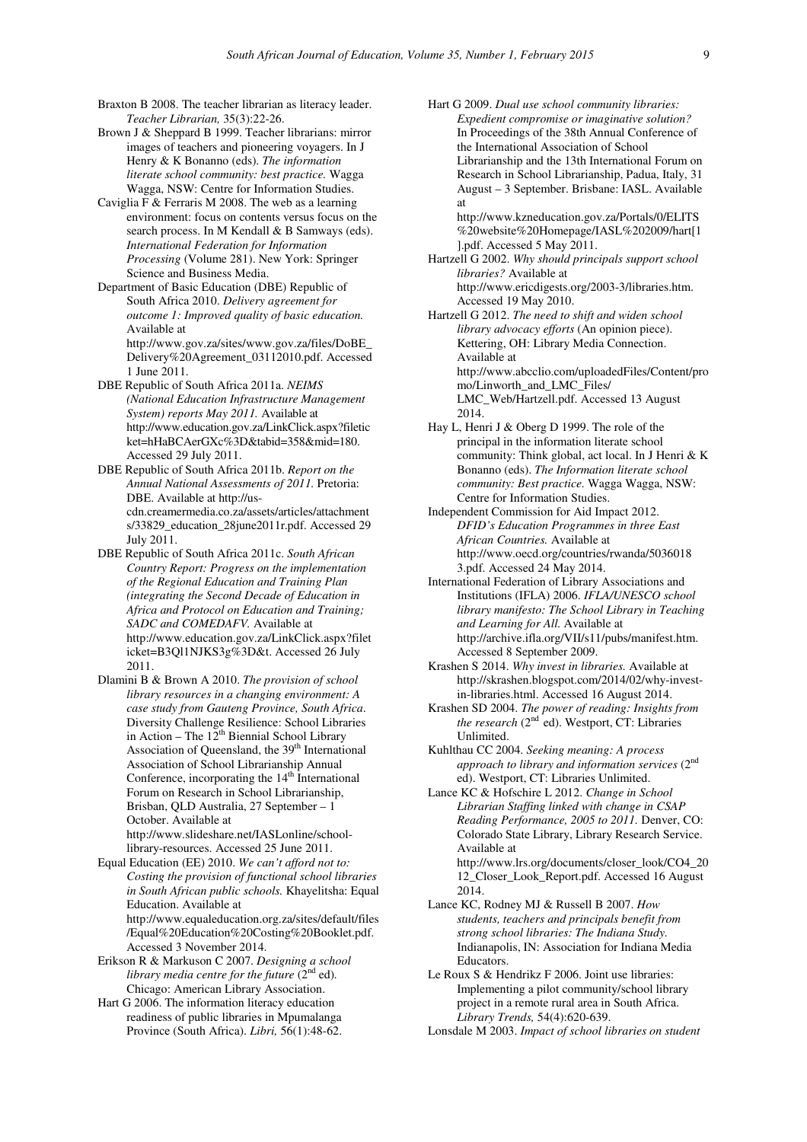- Braxton B 2008. The teacher librarian as literacy leader. *Teacher Librarian,* 35(3):22-26.
- Brown J & Sheppard B 1999. Teacher librarians: mirror images of teachers and pioneering voyagers. In J Henry & K Bonanno (eds). *The information literate school community: best practice.* Wagga Wagga, NSW: Centre for Information Studies.
- Caviglia F & Ferraris M 2008. The web as a learning environment: focus on contents versus focus on the search process. In M Kendall & B Samways (eds). *International Federation for Information Processing* (Volume 281). New York: Springer Science and Business Media.
- Department of Basic Education (DBE) Republic of South Africa 2010. *Delivery agreement for outcome 1: Improved quality of basic education.*  Available at http://www.gov.za/sites/www.gov.za/files/DoBE\_

Delivery%20Agreement\_03112010.pdf. Accessed 1 June 2011.

- DBE Republic of South Africa 2011a. *NEIMS (National Education Infrastructure Management System) reports May 2011.* Available at http://www.education.gov.za/LinkClick.aspx?filetic ket=hHaBCAerGXc%3D&tabid=358&mid=180. Accessed 29 July 2011.
- DBE Republic of South Africa 2011b. *Report on the Annual National Assessments of 2011.* Pretoria: DBE. Available at http://uscdn.creamermedia.co.za/assets/articles/attachment s/33829\_education\_28june2011r.pdf. Accessed 29 July 2011.
- DBE Republic of South Africa 2011c. *South African Country Report: Progress on the implementation of the Regional Education and Training Plan (integrating the Second Decade of Education in Africa and Protocol on Education and Training; SADC and COMEDAFV.* Available at http://www.education.gov.za/LinkClick.aspx?filet icket=B3Ql1NJKS3g%3D&t. Accessed 26 July 2011.
- Dlamini B & Brown A 2010. *The provision of school library resources in a changing environment: A case study from Gauteng Province, South Africa*. Diversity Challenge Resilience: School Libraries in Action – The  $12^{th}$  Biennial School Library Association of Queensland, the 39<sup>th</sup> International Association of School Librarianship Annual Conference, incorporating the 14<sup>th</sup> International Forum on Research in School Librarianship, Brisban, QLD Australia, 27 September – 1 October. Available at http://www.slideshare.net/IASLonline/schoollibrary-resources. Accessed 25 June 2011.
- Equal Education (EE) 2010. *We can't afford not to: Costing the provision of functional school libraries in South African public schools.* Khayelitsha: Equal Education. Available at http://www.equaleducation.org.za/sites/default/files /Equal%20Education%20Costing%20Booklet.pdf.
- Accessed 3 November 2014. Erikson R & Markuson C 2007. *Designing a school library media centre for the future* (2<sup>nd</sup> ed). Chicago: American Library Association.
- Hart G 2006. The information literacy education readiness of public libraries in Mpumalanga Province (South Africa). *Libri,* 56(1):48-62.

Hart G 2009. *Dual use school community libraries: Expedient compromise or imaginative solution?*  In Proceedings of the 38th Annual Conference of the International Association of School Librarianship and the 13th International Forum on Research in School Librarianship, Padua, Italy, 31 August – 3 September. Brisbane: IASL. Available at http://www.kzneducation.gov.za/Portals/0/ELITS

%20website%20Homepage/IASL%202009/hart[1 ].pdf. Accessed 5 May 2011.

Hartzell G 2002. *Why should principals support school libraries?* Available at http://www.ericdigests.org/2003-3/libraries.htm. Accessed 19 May 2010.

Hartzell G 2012. *The need to shift and widen school library advocacy efforts* (An opinion piece). Kettering, OH: Library Media Connection. Available at http://www.abcclio.com/uploadedFiles/Content/pro mo/Linworth\_and\_LMC\_Files/ LMC\_Web/Hartzell.pdf. Accessed 13 August 2014.

Hay L, Henri J & Oberg D 1999. The role of the principal in the information literate school community: Think global, act local. In J Henri & K Bonanno (eds). *The Information literate school community: Best practice.* Wagga Wagga, NSW: Centre for Information Studies.

Independent Commission for Aid Impact 2012. *DFID's Education Programmes in three East African Countries.* Available at http://www.oecd.org/countries/rwanda/5036018 3.pdf. Accessed 24 May 2014.

International Federation of Library Associations and Institutions (IFLA) 2006. *IFLA/UNESCO school library manifesto: The School Library in Teaching and Learning for All.* Available at http://archive.ifla.org/VII/s11/pubs/manifest.htm. Accessed 8 September 2009.

- Krashen S 2014. *Why invest in libraries.* Available at http://skrashen.blogspot.com/2014/02/why-investin-libraries.html. Accessed 16 August 2014.
- Krashen SD 2004. *The power of reading: Insights from the research* (2<sup>nd</sup> ed). Westport, CT: Libraries Unlimited.
- Kuhlthau CC 2004. *Seeking meaning: A process approach to library and information services* (2nd ed). Westport, CT: Libraries Unlimited.
- Lance KC & Hofschire L 2012. *Change in School Librarian Staffing linked with change in CSAP Reading Performance, 2005 to 2011.* Denver, CO: Colorado State Library, Library Research Service. Available at http://www.lrs.org/documents/closer\_look/CO4\_20

12\_Closer\_Look\_Report.pdf. Accessed 16 August 2014.

- Lance KC, Rodney MJ & Russell B 2007. *How students, teachers and principals benefit from strong school libraries: The Indiana Study.*  Indianapolis, IN: Association for Indiana Media **Educators**
- Le Roux S & Hendrikz F 2006. Joint use libraries: Implementing a pilot community/school library project in a remote rural area in South Africa. *Library Trends,* 54(4):620-639.

Lonsdale M 2003. *Impact of school libraries on student*